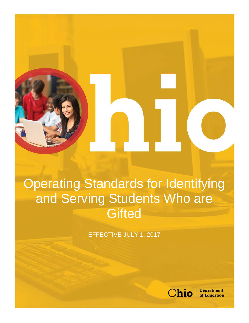Operating Standards for Identifying and Serving Students Who are **Gifted** 

EFFECTIVE JULY 1, 2017



**Department** of Education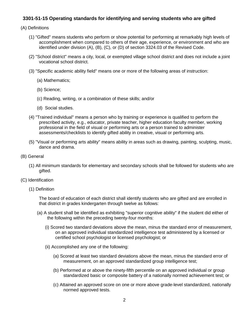## **3301-51-15 Operating standards for identifying and serving students who are gifted**

## (A) Definitions

- (1) "Gifted" means students who perform or show potential for performing at remarkably high levels of accomplishment when compared to others of their age, experience, or environment and who are identified under division (A), (B), (C), or (D) of section 3324.03 of the Revised Code.
- (2) "School district" means a city, local, or exempted village school district and does not include a joint vocational school district.
- (3) "Specific academic ability field" means one or more of the following areas of instruction:
	- (a) Mathematics;
	- (b) Science;
	- (c) Reading, writing, or a combination of these skills; and/or
	- (d) Social studies.
- (4) "Trained individual" means a person who by training or experience is qualified to perform the prescribed activity, e.g., educator, private teacher, higher education faculty member, working professional in the field of visual or performing arts or a person trained to administer assessments/checklists to identify gifted ability in creative, visual or performing arts.
- (5) "Visual or performing arts ability" means ability in areas such as drawing, painting, sculpting, music, dance and drama.
- (B) General
	- (1) All minimum standards for elementary and secondary schools shall be followed for students who are gifted.
- (C) Identification
	- (1) Definition

The board of education of each district shall identify students who are gifted and are enrolled in that district in grades kindergarten through twelve as follows:

- (a) A student shall be identified as exhibiting "superior cognitive ability" if the student did either of the following within the preceding twenty-four months:
	- (i) Scored two standard deviations above the mean, minus the standard error of measurement, on an approved individual standardized intelligence test administered by a licensed or certified school psychologist or licensed psychologist; or
	- (ii) Accomplished any one of the following:
		- (a) Scored at least two standard deviations above the mean, minus the standard error of measurement, on an approved standardized group intelligence test;
		- (b) Performed at or above the ninety-fifth percentile on an approved individual or group standardized basic or composite battery of a nationally normed achievement test; or
		- (c) Attained an approved score on one or more above grade-level standardized, nationally normed approved tests.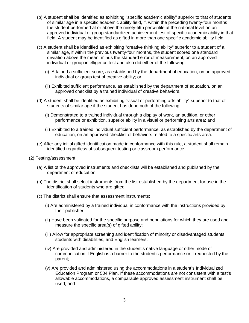- (b) A student shall be identified as exhibiting "specific academic ability" superior to that of students of similar age in a specific academic ability field, if, within the preceding twenty-four months the student performed at or above the ninety-fifth percentile at the national level on an approved individual or group standardized achievement test of specific academic ability in that field. A student may be identified as gifted in more than one specific academic ability field.
- (c) A student shall be identified as exhibiting "creative thinking ability" superior to a student of a similar age, if within the previous twenty-four months, the student scored one standard deviation above the mean, minus the standard error of measurement, on an approved individual or group intelligence test and also did either of the following:
	- (i) Attained a sufficient score, as established by the department of education, on an approved individual or group test of creative ability; or
	- (ii) Exhibited sufficient performance, as established by the department of education, on an approved checklist by a trained individual of creative behaviors.
- (d) A student shall be identified as exhibiting "visual or performing arts ability" superior to that of students of similar age if the student has done both of the following:
	- (i) Demonstrated to a trained individual through a display of work, an audition, or other performance or exhibition, superior ability in a visual or performing arts area; and
	- (ii) Exhibited to a trained individual sufficient performance, as established by the department of education, on an approved checklist of behaviors related to a specific arts area.
- (e) After any initial gifted identification made in conformance with this rule, a student shall remain identified regardless of subsequent testing or classroom performance.
- (2) Testing/assessment
	- (a) A list of the approved instruments and checklists will be established and published by the department of education.
	- (b) The district shall select instruments from the list established by the department for use in the identification of students who are gifted.
	- (c) The district shall ensure that assessment instruments:
		- (i) Are administered by a trained individual in conformance with the instructions provided by their publisher;
		- (ii) Have been validated for the specific purpose and populations for which they are used and measure the specific area(s) of gifted ability;
		- (iii) Allow for appropriate screening and identification of minority or disadvantaged students, students with disabilities, and English learners;
		- (iv) Are provided and administered in the student's native language or other mode of communication if English is a barrier to the student's performance or if requested by the parent;
		- (v) Are provided and administered using the accommodations in a student's Individualized Education Program or 504 Plan. If these accommodations are not consistent with a test's allowable accommodations, a comparable approved assessment instrument shall be used; and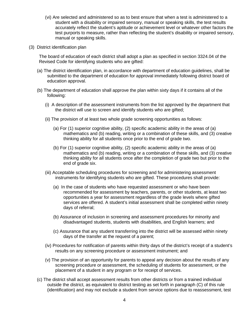- (vi) Are selected and administered so as to best ensure that when a test is administered to a student with a disability or impaired sensory, manual or speaking skills, the test results accurately reflect the student's aptitude or achievement level or whatever other factors the test purports to measure, rather than reflecting the student's disability or impaired sensory, manual or speaking skills.
- (3) District identification plan

The board of education of each district shall adopt a plan as specified in section 3324.04 of the Revised Code for identifying students who are gifted:

- (a) The district identification plan, in accordance with department of education guidelines, shall be submitted to the department of education for approval immediately following district board of education approval.
- (b) The department of education shall approve the plan within sixty days if it contains all of the following:
	- (i) A description of the assessment instruments from the list approved by the department that the district will use to screen and identify students who are gifted;
	- (ii) The provision of at least two whole grade screening opportunities as follows:
		- (a) For (1) superior cognitive ability, (2) specific academic ability in the areas of (a) mathematics and (b) reading, writing or a combination of these skills, and (3) creative thinking ability for all students once prior to the end of grade two.
		- (b) For (1) superior cognitive ability, (2) specific academic ability in the areas of (a) mathematics and (b) reading, writing or a combination of these skills, and (3) creative thinking ability for all students once after the completion of grade two but prior to the end of grade six.
	- (iii) Acceptable scheduling procedures for screening and for administering assessment instruments for identifying students who are gifted. These procedures shall provide:
		- (a) In the case of students who have requested assessment or who have been recommended for assessment by teachers, parents, or other students, at least two opportunities a year for assessment regardless of the grade levels where gifted services are offered. A student's initial assessment shall be completed within ninety days of referral;
		- (b) Assurance of inclusion in screening and assessment procedures for minority and disadvantaged students, students with disabilities, and English learners; and
		- (c) Assurance that any student transferring into the district will be assessed within ninety days of the transfer at the request of a parent;
	- (iv) Procedures for notification of parents within thirty days of the district's receipt of a student's results on any screening procedure or assessment instrument; and
	- (v) The provision of an opportunity for parents to appeal any decision about the results of any screening procedure or assessment, the scheduling of students for assessment, or the placement of a student in any program or for receipt of services.
- (c) The district shall accept assessment results from other districts or from a trained individual outside the district, as equivalent to district testing as set forth in paragraph (C) of this rule (identification) and may not exclude a student from service options due to reassessment, test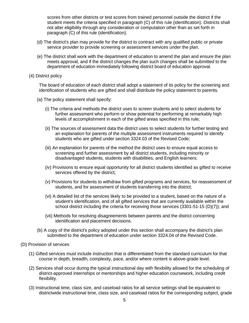scores from other districts or test scores from trained personnel outside the district if the student meets the criteria specified in paragraph (C) of this rule (identification). Districts shall not alter eligibility through any consideration or computation other than as set forth in paragraph (C) of this rule (identification).

- (d) The district's plan may provide for the district to contract with any qualified public or private service provider to provide screening or assessment services under the plan.
- (e) The district shall work with the department of education to amend the plan and ensure the plan meets approval, and if the district changes the plan such changes shall be submitted to the department of education immediately following district board of education approval.
- (4) District policy

The board of education of each district shall adopt a statement of its policy for the screening and identification of students who are gifted and shall distribute the policy statement to parents.

- (a) The policy statement shall specify:
	- (i) The criteria and methods the district uses to screen students and to select students for further assessment who perform or show potential for performing at remarkably high levels of accomplishment in each of the gifted areas specified in this rule;
	- (ii) The sources of assessment data the district uses to select students for further testing and an explanation for parents of the multiple assessment instruments required to identify students who are gifted under section 3324.03 of the Revised Code;
	- (iii) An explanation for parents of the method the district uses to ensure equal access to screening and further assessment by all district students, including minority or disadvantaged students, students with disabilities, and English learners;
	- (iv) Provisions to ensure equal opportunity for all district students identified as gifted to receive services offered by the district;
	- (v) Provisions for students to withdraw from gifted programs and services, for reassessment of students, and for assessment of students transferring into the district;
	- (vi) A detailed list of the services likely to be provided to a student, based on the nature of a student's identification, and of all gifted services that are currently available within the school district including the criteria for receiving those services (3301-51-15 (D)(7)); and
	- (vii) Methods for resolving disagreements between parents and the district concerning identification and placement decisions.
- (b) A copy of the district's policy adopted under this section shall accompany the district's plan submitted to the department of education under section 3324.04 of the Revised Code.
- (D) Provision of services
	- (1) Gifted services must include instruction that is differentiated from the standard curriculum for that course in depth, breadth, complexity, pace, and/or where content is above-grade level.
	- (2) Services shall occur during the typical instructional day with flexibility allowed for the scheduling of district-approved internships or mentorships and higher education coursework, including credit flexibility.
	- (3) Instructional time, class size, and caseload ratios for all service settings shall be equivalent to districtwide instructional time, class size, and caseload ratios for the corresponding subject, grade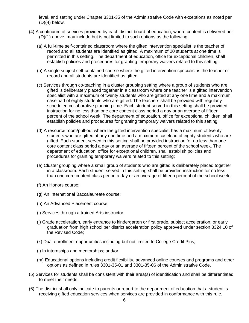level, and setting under Chapter 3301-35 of the Administrative Code with exceptions as noted per (D)(4) below.

- (4) A continuum of services provided by each district board of education, where content is delivered per (D)(1) above, may include but is not limited to such options as the following:
	- (a) A full-time self-contained classroom where the gifted intervention specialist is the teacher of record and all students are identified as gifted. A maximum of 20 students at one time is permitted in this setting. The department of education, office for exceptional children, shall establish policies and procedures for granting temporary waivers related to this setting;
	- (b) A single subject self-contained course where the gifted intervention specialist is the teacher of record and all students are identified as gifted;
	- (c) Services through co-teaching in a cluster grouping setting where a group of students who are gifted is deliberately placed together in a classroom where one teacher is a gifted intervention specialist with a maximum of twenty students who are gifted at any one time and a maximum caseload of eighty students who are gifted. The teachers shall be provided with regularly scheduled collaborative planning time. Each student served in this setting shall be provided instruction for no less than one core content class period a day or an average of fifteen percent of the school week. The department of education, office for exceptional children, shall establish policies and procedures for granting temporary waivers related to this setting;
	- (d) A resource room/pull-out where the gifted intervention specialist has a maximum of twenty students who are gifted at any one time and a maximum caseload of eighty students who are gifted. Each student served in this setting shall be provided instruction for no less than one core content class period a day or an average of fifteen percent of the school week. The department of education, office for exceptional children, shall establish policies and procedures for granting temporary waivers related to this setting;
	- (e) Cluster grouping where a small group of students who are gifted is deliberately placed together in a classroom. Each student served in this setting shall be provided instruction for no less than one core content class period a day or an average of fifteen percent of the school week;
	- (f) An Honors course;
	- (g) An International Baccalaureate course;
	- (h) An Advanced Placement course;
	- (i) Services through a trained Arts instructor;
	- (j) Grade acceleration, early entrance to kindergarten or first grade, subject acceleration, or early graduation from high school per district acceleration policy approved under section 3324.10 of the Revised Code;
	- (k) Dual enrollment opportunities including but not limited to College Credit Plus;
	- (l) In internships and mentorships; and/or
	- (m) Educational options including credit flexibility, advanced online courses and programs and other options as defined in rules 3301-35-01 and 3301-35-06 of the Administrative Code.
- (5) Services for students shall be consistent with their area(s) of identification and shall be differentiated to meet their needs.
- (6) The district shall only indicate to parents or report to the department of education that a student is receiving gifted education services when services are provided in conformance with this rule.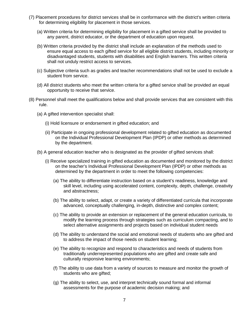- (7) Placement procedures for district services shall be in conformance with the district's written criteria for determining eligibility for placement in those services.
	- (a) Written criteria for determining eligibility for placement in a gifted service shall be provided to any parent, district educator, or the department of education upon request.
	- (b) Written criteria provided by the district shall include an explanation of the methods used to ensure equal access to each gifted service for all eligible district students, including minority or disadvantaged students, students with disabilities and English learners. This written criteria shall not unduly restrict access to services.
	- (c) Subjective criteria such as grades and teacher recommendations shall not be used to exclude a student from service.
	- (d) All district students who meet the written criteria for a gifted service shall be provided an equal opportunity to receive that service.
- (8) Personnel shall meet the qualifications below and shall provide services that are consistent with this rule.
	- (a) A gifted intervention specialist shall:
		- (i) Hold licensure or endorsement in gifted education; and
		- (ii) Participate in ongoing professional development related to gifted education as documented on the Individual Professional Development Plan (IPDP) or other methods as determined by the department.
	- (b) A general education teacher who is designated as the provider of gifted services shall:
		- (i) Receive specialized training in gifted education as documented and monitored by the district on the teacher's Individual Professional Development Plan (IPDP) or other methods as determined by the department in order to meet the following competencies:
			- (a) The ability to differentiate instruction based on a student's readiness, knowledge and skill level, including using accelerated content, complexity, depth, challenge, creativity and abstractness;
			- (b) The ability to select, adapt, or create a variety of differentiated curricula that incorporate advanced, conceptually challenging, in-depth, distinctive and complex content;
			- (c) The ability to provide an extension or replacement of the general education curricula, to modify the learning process through strategies such as curriculum compacting, and to select alternative assignments and projects based on individual student needs
			- (d) The ability to understand the social and emotional needs of students who are gifted and to address the impact of those needs on student learning;
			- (e) The ability to recognize and respond to characteristics and needs of students from traditionally underrepresented populations who are gifted and create safe and culturally responsive learning environments;
			- (f) The ability to use data from a variety of sources to measure and monitor the growth of students who are gifted;
			- (g) The ability to select, use, and interpret technically sound formal and informal assessments for the purpose of academic decision making; and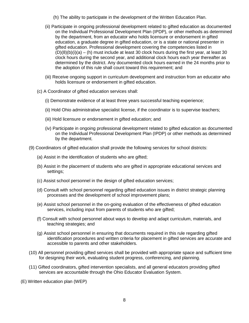- (h) The ability to participate in the development of the Written Education Plan.
- (ii) Participate in ongoing professional development related to gifted education as documented on the Individual Professional Development Plan (IPDP), or other methods as determined by the department, from an educator who holds licensure or endorsement in gifted education, a graduate degree in gifted education, or is a state or national presenter in gifted education. Professional development covering the competencies listed in  $(D)(8)(b)(i)(a) - (h)$  must include at least 30 clock hours during the first year, at least 30 clock hours during the second year, and additional clock hours each year thereafter as determined by the district. Any documented clock hours earned in the 24 months prior to the adoption of this rule shall count toward this requirement; and
- (iii) Receive ongoing support in curriculum development and instruction from an educator who holds licensure or endorsement in gifted education.
- (c) A Coordinator of gifted education services shall:
	- (i) Demonstrate evidence of at least three years successful teaching experience;
	- (ii) Hold Ohio administrative specialist license, if the coordinator is to supervise teachers;
	- (iii) Hold licensure or endorsement in gifted education; and
	- (iv) Participate in ongoing professional development related to gifted education as documented on the Individual Professional Development Plan (IPDP) or other methods as determined by the department.
- (9) Coordinators of gifted education shall provide the following services for school districts:
	- (a) Assist in the identification of students who are gifted;
	- (b) Assist in the placement of students who are gifted in appropriate educational services and settings;
	- (c) Assist school personnel in the design of gifted education services;
	- (d) Consult with school personnel regarding gifted education issues in district strategic planning processes and the development of school improvement plans;
	- (e) Assist school personnel in the on-going evaluation of the effectiveness of gifted education services, including input from parents of students who are gifted;
	- (f) Consult with school personnel about ways to develop and adapt curriculum, materials, and teaching strategies; and
	- (g) Assist school personnel in ensuring that documents required in this rule regarding gifted identification procedures and written criteria for placement in gifted services are accurate and accessible to parents and other stakeholders.
- (10) All personnel providing gifted services shall be provided with appropriate space and sufficient time for designing their work, evaluating student progress, conferencing, and planning.
- (11) Gifted coordinators, gifted intervention specialists, and all general educators providing gifted services are accountable through the Ohio Educator Evaluation System.
- (E) Written education plan (WEP)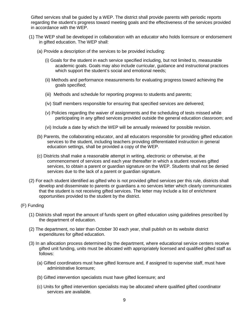Gifted services shall be guided by a WEP. The district shall provide parents with periodic reports regarding the student's progress toward meeting goals and the effectiveness of the services provided in accordance with the WEP.

- (1) The WEP shall be developed in collaboration with an educator who holds licensure or endorsement in gifted education. The WEP shall:
	- (a) Provide a description of the services to be provided including:
		- (i) Goals for the student in each service specified including, but not limited to, measurable academic goals. Goals may also include curricular, guidance and instructional practices which support the student's social and emotional needs;
		- (ii) Methods and performance measurements for evaluating progress toward achieving the goals specified;
		- (iii) Methods and schedule for reporting progress to students and parents;
		- (iv) Staff members responsible for ensuring that specified services are delivered;
		- (v) Policies regarding the waiver of assignments and the scheduling of tests missed while participating in any gifted services provided outside the general education classroom; and
		- (vi) Include a date by which the WEP will be annually reviewed for possible revision.
	- (b) Parents, the collaborating educator, and all educators responsible for providing gifted education services to the student, including teachers providing differentiated instruction in general education settings, shall be provided a copy of the WEP.
	- (c) Districts shall make a reasonable attempt in writing, electronic or otherwise, at the commencement of services and each year thereafter in which a student receives gifted services, to obtain a parent or guardian signature on the WEP. Students shall not be denied services due to the lack of a parent or guardian signature.
- (2) For each student identified as gifted who is not provided gifted services per this rule, districts shall develop and disseminate to parents or guardians a no services letter which clearly communicates that the student is not receiving gifted services. The letter may include a list of enrichment opportunities provided to the student by the district.
- (F) Funding
	- (1) Districts shall report the amount of funds spent on gifted education using guidelines prescribed by the department of education.
	- (2) The department, no later than October 30 each year, shall publish on its website district expenditures for gifted education.
	- (3) In an allocation process determined by the department, where educational service centers receive gifted unit funding, units must be allocated with appropriately licensed and qualified gifted staff as follows:
		- (a) Gifted coordinators must have gifted licensure and, if assigned to supervise staff, must have administrative licensure;
		- (b) Gifted intervention specialists must have gifted licensure; and
		- (c) Units for gifted intervention specialists may be allocated where qualified gifted coordinator services are available.